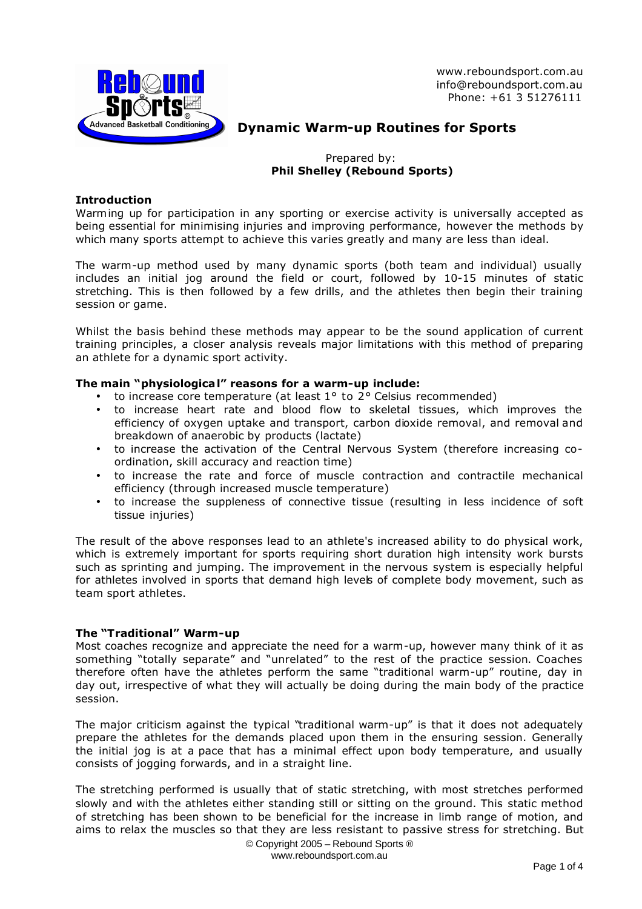

www.reboundsport.com.au info@reboundsport.com.au Phone: +61 3 51276111

# **Dynamic Warm-up Routines for Sports**

Prepared by:  **Phil Shelley (Rebound Sports)**

## **Introduction**

Warming up for participation in any sporting or exercise activity is universally accepted as being essential for minimising injuries and improving performance, however the methods by which many sports attempt to achieve this varies greatly and many are less than ideal.

The warm-up method used by many dynamic sports (both team and individual) usually includes an initial jog around the field or court, followed by 10-15 minutes of static stretching. This is then followed by a few drills, and the athletes then begin their training session or game.

Whilst the basis behind these methods may appear to be the sound application of current training principles, a closer analysis reveals major limitations with this method of preparing an athlete for a dynamic sport activity.

# **The main "physiological" reasons for a warm-up include:**

- to increase core temperature (at least  $1^\circ$  to  $2^\circ$  Celsius recommended)
- to increase heart rate and blood flow to skeletal tissues, which improves the efficiency of oxygen uptake and transport, carbon dioxide removal, and removal and breakdown of anaerobic by products (lactate)
- to increase the activation of the Central Nervous System (therefore increasing coordination, skill accuracy and reaction time)
- to increase the rate and force of muscle contraction and contractile mechanical efficiency (through increased muscle temperature)
- to increase the suppleness of connective tissue (resulting in less incidence of soft tissue injuries)

The result of the above responses lead to an athlete's increased ability to do physical work, which is extremely important for sports requiring short duration high intensity work bursts such as sprinting and jumping. The improvement in the nervous system is especially helpful for athletes involved in sports that demand high levels of complete body movement, such as team sport athletes.

## **The "Traditional" Warm-up**

Most coaches recognize and appreciate the need for a warm-up, however many think of it as something "totally separate" and "unrelated" to the rest of the practice session. Coaches therefore often have the athletes perform the same "traditional warm-up" routine, day in day out, irrespective of what they will actually be doing during the main body of the practice session.

The major criticism against the typical "traditional warm-up" is that it does not adequately prepare the athletes for the demands placed upon them in the ensuring session. Generally the initial jog is at a pace that has a minimal effect upon body temperature, and usually consists of jogging forwards, and in a straight line.

The stretching performed is usually that of static stretching, with most stretches performed slowly and with the athletes either standing still or sitting on the ground. This static method of stretching has been shown to be beneficial for the increase in limb range of motion, and aims to relax the muscles so that they are less resistant to passive stress for stretching. But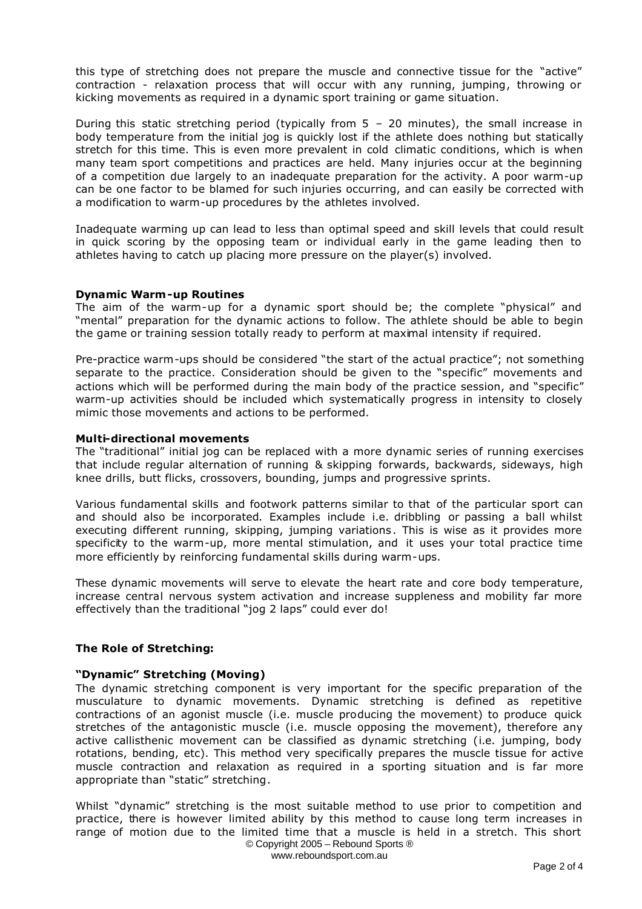this type of stretching does not prepare the muscle and connective tissue for the "active" contraction - relaxation process that will occur with any running, jumping, throwing or kicking movements as required in a dynamic sport training or game situation.

During this static stretching period (typically from  $5 - 20$  minutes), the small increase in body temperature from the initial jog is quickly lost if the athlete does nothing but statically stretch for this time. This is even more prevalent in cold climatic conditions, which is when many team sport competitions and practices are held. Many injuries occur at the beginning of a competition due largely to an inadequate preparation for the activity. A poor warm-up can be one factor to be blamed for such injuries occurring, and can easily be corrected with a modification to warm-up procedures by the athletes involved.

Inadequate warming up can lead to less than optimal speed and skill levels that could result in quick scoring by the opposing team or individual early in the game leading then to athletes having to catch up placing more pressure on the player(s) involved.

#### **Dynamic Warm-up Routines**

The aim of the warm-up for a dynamic sport should be; the complete "physical" and "mental" preparation for the dynamic actions to follow. The athlete should be able to begin the game or training session totally ready to perform at maximal intensity if required.

Pre-practice warm-ups should be considered "the start of the actual practice"; not something separate to the practice. Consideration should be given to the "specific" movements and actions which will be performed during the main body of the practice session, and "specific" warm-up activities should be included which systematically progress in intensity to closely mimic those movements and actions to be performed.

#### **Multi-directional movements**

The "traditional" initial jog can be replaced with a more dynamic series of running exercises that include regular alternation of running & skipping forwards, backwards, sideways, high knee drills, butt flicks, crossovers, bounding, jumps and progressive sprints.

Various fundamental skills and footwork patterns similar to that of the particular sport can and should also be incorporated. Examples include i.e. dribbling or passing a ball whilst executing different running, skipping, jumping variations . This is wise as it provides more specificity to the warm-up, more mental stimulation, and it uses your total practice time more efficiently by reinforcing fundamental skills during warm-ups.

These dynamic movements will serve to elevate the heart rate and core body temperature, increase central nervous system activation and increase suppleness and mobility far more effectively than the traditional "jog 2 laps" could ever do!

## **The Role of Stretching:**

#### **"Dynamic" Stretching (Moving)**

The dynamic stretching component is very important for the specific preparation of the musculature to dynamic movements. Dynamic stretching is defined as repetitive contractions of an agonist muscle (i.e. muscle producing the movement) to produce quick stretches of the antagonistic muscle (i.e. muscle opposing the movement), therefore any active callisthenic movement can be classified as dynamic stretching (i.e. jumping, body rotations, bending, etc). This method very specifically prepares the muscle tissue for active muscle contraction and relaxation as required in a sporting situation and is far more appropriate than "static" stretching.

© Copyright 2005 – Rebound Sports ® Whilst "dynamic" stretching is the most suitable method to use prior to competition and practice, there is however limited ability by this method to cause long term increases in range of motion due to the limited time that a muscle is held in a stretch. This short

www.reboundsport.com.au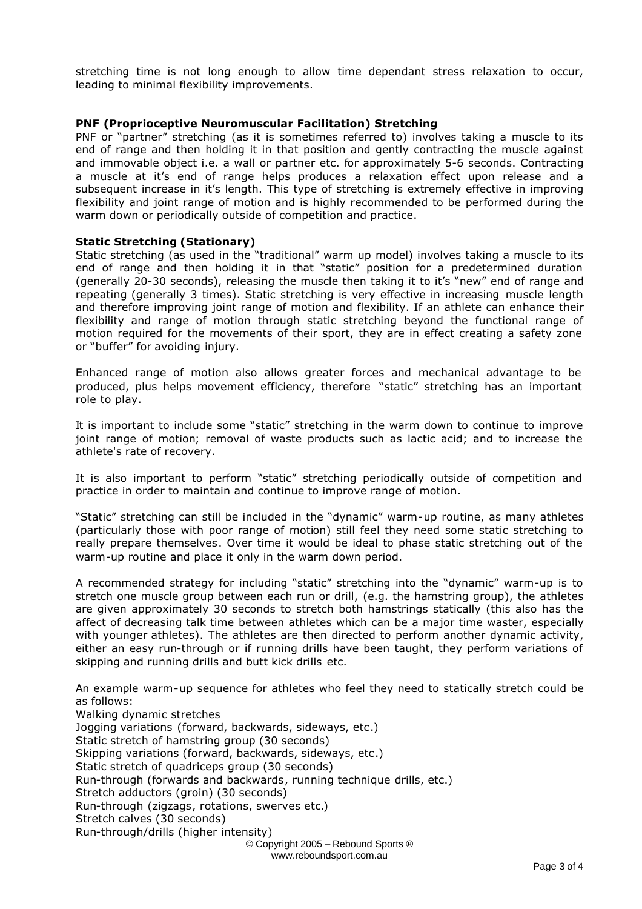stretching time is not long enough to allow time dependant stress relaxation to occur, leading to minimal flexibility improvements.

#### **PNF (Proprioceptive Neuromuscular Facilitation) Stretching**

PNF or "partner" stretching (as it is sometimes referred to) involves taking a muscle to its end of range and then holding it in that position and gently contracting the muscle against and immovable object i.e. a wall or partner etc. for approximately 5-6 seconds. Contracting a muscle at it's end of range helps produces a relaxation effect upon release and a subsequent increase in it's length. This type of stretching is extremely effective in improving flexibility and joint range of motion and is highly recommended to be performed during the warm down or periodically outside of competition and practice.

#### **Static Stretching (Stationary)**

Static stretching (as used in the "traditional" warm up model) involves taking a muscle to its end of range and then holding it in that "static" position for a predetermined duration (generally 20-30 seconds), releasing the muscle then taking it to it's "new" end of range and repeating (generally 3 times). Static stretching is very effective in increasing muscle length and therefore improving joint range of motion and flexibility. If an athlete can enhance their flexibility and range of motion through static stretching beyond the functional range of motion required for the movements of their sport, they are in effect creating a safety zone or "buffer" for avoiding injury.

Enhanced range of motion also allows greater forces and mechanical advantage to be produced, plus helps movement efficiency, therefore "static" stretching has an important role to play.

It is important to include some "static" stretching in the warm down to continue to improve joint range of motion; removal of waste products such as lactic acid; and to increase the athlete's rate of recovery.

It is also important to perform "static" stretching periodically outside of competition and practice in order to maintain and continue to improve range of motion.

"Static" stretching can still be included in the "dynamic" warm-up routine, as many athletes (particularly those with poor range of motion) still feel they need some static stretching to really prepare themselves. Over time it would be ideal to phase static stretching out of the warm-up routine and place it only in the warm down period.

A recommended strategy for including "static" stretching into the "dynamic" warm-up is to stretch one muscle group between each run or drill, (e.g. the hamstring group), the athletes are given approximately 30 seconds to stretch both hamstrings statically (this also has the affect of decreasing talk time between athletes which can be a major time waster, especially with younger athletes). The athletes are then directed to perform another dynamic activity, either an easy run-through or if running drills have been taught, they perform variations of skipping and running drills and butt kick drills etc.

An example warm-up sequence for athletes who feel they need to statically stretch could be as follows:

© Copyright 2005 – Rebound Sports ® www.reboundsport.com.au Walking dynamic stretches Jogging variations (forward, backwards, sideways, etc.) Static stretch of hamstring group (30 seconds) Skipping variations (forward, backwards, sideways, etc.) Static stretch of quadriceps group (30 seconds) Run-through (forwards and backwards, running technique drills, etc.) Stretch adductors (groin) (30 seconds) Run-through (zigzags, rotations, swerves etc.) Stretch calves (30 seconds) Run-through/drills (higher intensity)